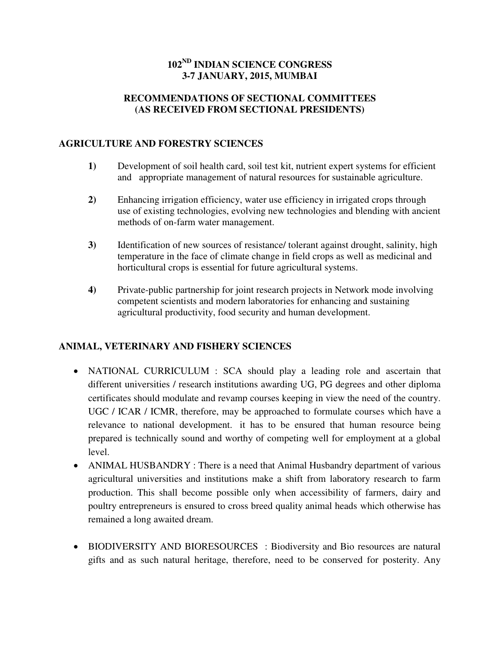# **102ND INDIAN SCIENCE CONGRESS 3-7 JANUARY, 2015, MUMBAI**

#### **RECOMMENDATIONS OF SECTIONAL COMMITTEES (AS RECEIVED FROM SECTIONAL PRESIDENTS)**

### **AGRICULTURE AND FORESTRY SCIENCES**

- **1)** Development of soil health card, soil test kit, nutrient expert systems for efficient and appropriate management of natural resources for sustainable agriculture.
- **2)** Enhancing irrigation efficiency, water use efficiency in irrigated crops through use of existing technologies, evolving new technologies and blending with ancient methods of on-farm water management.
- **3)** Identification of new sources of resistance/ tolerant against drought, salinity, high temperature in the face of climate change in field crops as well as medicinal and horticultural crops is essential for future agricultural systems.
- **4)** Private-public partnership for joint research projects in Network mode involving competent scientists and modern laboratories for enhancing and sustaining agricultural productivity, food security and human development.

## **ANIMAL, VETERINARY AND FISHERY SCIENCES**

- NATIONAL CURRICULUM : SCA should play a leading role and ascertain that different universities / research institutions awarding UG, PG degrees and other diploma certificates should modulate and revamp courses keeping in view the need of the country. UGC / ICAR / ICMR, therefore, may be approached to formulate courses which have a relevance to national development. it has to be ensured that human resource being prepared is technically sound and worthy of competing well for employment at a global level.
- ANIMAL HUSBANDRY : There is a need that Animal Husbandry department of various agricultural universities and institutions make a shift from laboratory research to farm production. This shall become possible only when accessibility of farmers, dairy and poultry entrepreneurs is ensured to cross breed quality animal heads which otherwise has remained a long awaited dream.
- BIODIVERSITY AND BIORESOURCES : Biodiversity and Bio resources are natural gifts and as such natural heritage, therefore, need to be conserved for posterity. Any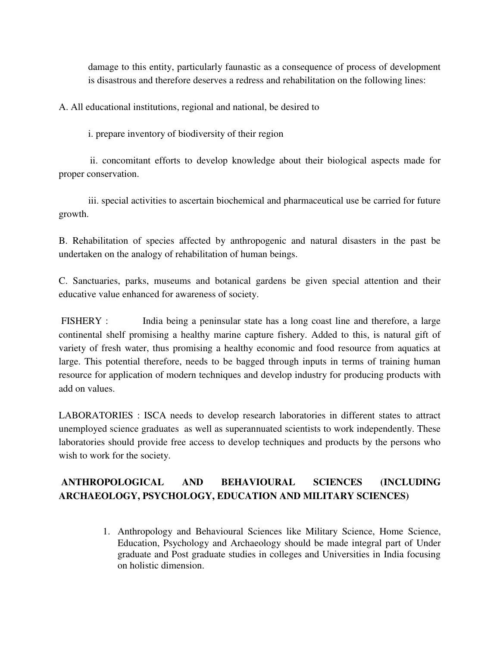damage to this entity, particularly faunastic as a consequence of process of development is disastrous and therefore deserves a redress and rehabilitation on the following lines:

A. All educational institutions, regional and national, be desired to

i. prepare inventory of biodiversity of their region

 ii. concomitant efforts to develop knowledge about their biological aspects made for proper conservation.

 iii. special activities to ascertain biochemical and pharmaceutical use be carried for future growth.

B. Rehabilitation of species affected by anthropogenic and natural disasters in the past be undertaken on the analogy of rehabilitation of human beings.

C. Sanctuaries, parks, museums and botanical gardens be given special attention and their educative value enhanced for awareness of society.

FISHERY : India being a peninsular state has a long coast line and therefore, a large continental shelf promising a healthy marine capture fishery. Added to this, is natural gift of variety of fresh water, thus promising a healthy economic and food resource from aquatics at large. This potential therefore, needs to be bagged through inputs in terms of training human resource for application of modern techniques and develop industry for producing products with add on values.

LABORATORIES : ISCA needs to develop research laboratories in different states to attract unemployed science graduates as well as superannuated scientists to work independently. These laboratories should provide free access to develop techniques and products by the persons who wish to work for the society.

# **ANTHROPOLOGICAL AND BEHAVIOURAL SCIENCES (INCLUDING ARCHAEOLOGY, PSYCHOLOGY, EDUCATION AND MILITARY SCIENCES)**

1. Anthropology and Behavioural Sciences like Military Science, Home Science, Education, Psychology and Archaeology should be made integral part of Under graduate and Post graduate studies in colleges and Universities in India focusing on holistic dimension.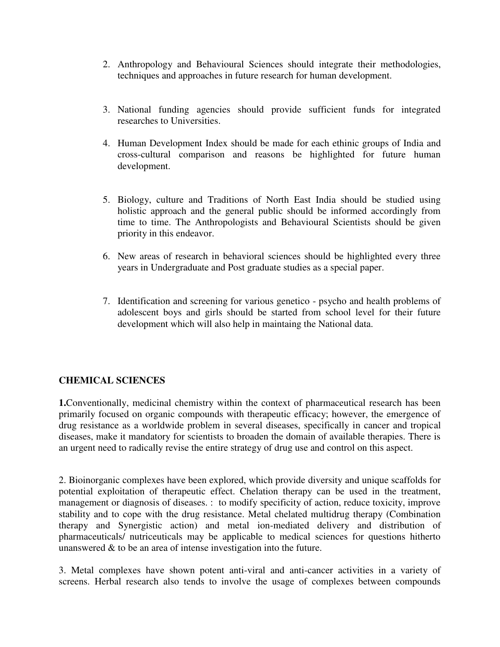- 2. Anthropology and Behavioural Sciences should integrate their methodologies, techniques and approaches in future research for human development.
- 3. National funding agencies should provide sufficient funds for integrated researches to Universities.
- 4. Human Development Index should be made for each ethinic groups of India and cross-cultural comparison and reasons be highlighted for future human development.
- 5. Biology, culture and Traditions of North East India should be studied using holistic approach and the general public should be informed accordingly from time to time. The Anthropologists and Behavioural Scientists should be given priority in this endeavor.
- 6. New areas of research in behavioral sciences should be highlighted every three years in Undergraduate and Post graduate studies as a special paper.
- 7. Identification and screening for various genetico psycho and health problems of adolescent boys and girls should be started from school level for their future development which will also help in maintaing the National data.

## **CHEMICAL SCIENCES**

**1.**Conventionally, medicinal chemistry within the context of pharmaceutical research has been primarily focused on organic compounds with therapeutic efficacy; however, the emergence of drug resistance as a worldwide problem in several diseases, specifically in cancer and tropical diseases, make it mandatory for scientists to broaden the domain of available therapies. There is an urgent need to radically revise the entire strategy of drug use and control on this aspect.

2. Bioinorganic complexes have been explored, which provide diversity and unique scaffolds for potential exploitation of therapeutic effect. Chelation therapy can be used in the treatment, management or diagnosis of diseases. : to modify specificity of action, reduce toxicity, improve stability and to cope with the drug resistance. Metal chelated multidrug therapy (Combination therapy and Synergistic action) and metal ion-mediated delivery and distribution of pharmaceuticals/ nutriceuticals may be applicable to medical sciences for questions hitherto unanswered & to be an area of intense investigation into the future.

3. Metal complexes have shown potent anti-viral and anti-cancer activities in a variety of screens. Herbal research also tends to involve the usage of complexes between compounds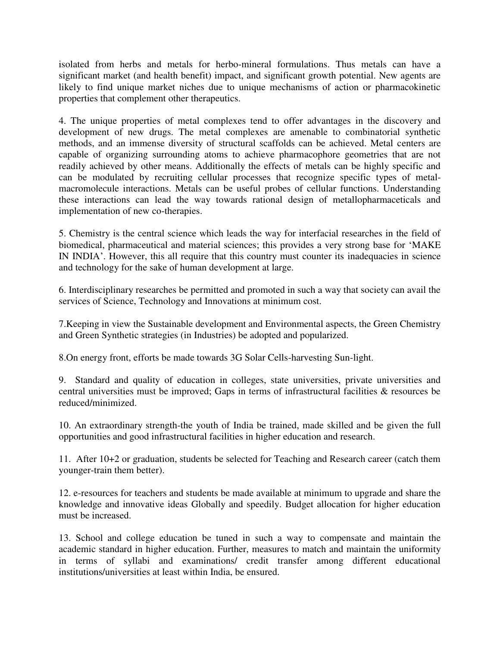isolated from herbs and metals for herbo-mineral formulations. Thus metals can have a significant market (and health benefit) impact, and significant growth potential. New agents are likely to find unique market niches due to unique mechanisms of action or pharmacokinetic properties that complement other therapeutics.

4. The unique properties of metal complexes tend to offer advantages in the discovery and development of new drugs. The metal complexes are amenable to combinatorial synthetic methods, and an immense diversity of structural scaffolds can be achieved. Metal centers are capable of organizing surrounding atoms to achieve pharmacophore geometries that are not readily achieved by other means. Additionally the effects of metals can be highly specific and can be modulated by recruiting cellular processes that recognize specific types of metalmacromolecule interactions. Metals can be useful probes of cellular functions. Understanding these interactions can lead the way towards rational design of metallopharmaceticals and implementation of new co-therapies.

5. Chemistry is the central science which leads the way for interfacial researches in the field of biomedical, pharmaceutical and material sciences; this provides a very strong base for 'MAKE IN INDIA'. However, this all require that this country must counter its inadequacies in science and technology for the sake of human development at large.

6. Interdisciplinary researches be permitted and promoted in such a way that society can avail the services of Science, Technology and Innovations at minimum cost.

7.Keeping in view the Sustainable development and Environmental aspects, the Green Chemistry and Green Synthetic strategies (in Industries) be adopted and popularized.

8.On energy front, efforts be made towards 3G Solar Cells-harvesting Sun-light.

9. Standard and quality of education in colleges, state universities, private universities and central universities must be improved; Gaps in terms of infrastructural facilities & resources be reduced/minimized.

10. An extraordinary strength-the youth of India be trained, made skilled and be given the full opportunities and good infrastructural facilities in higher education and research.

11. After 10+2 or graduation, students be selected for Teaching and Research career (catch them younger-train them better).

12. e-resources for teachers and students be made available at minimum to upgrade and share the knowledge and innovative ideas Globally and speedily. Budget allocation for higher education must be increased.

13. School and college education be tuned in such a way to compensate and maintain the academic standard in higher education. Further, measures to match and maintain the uniformity in terms of syllabi and examinations/ credit transfer among different educational institutions/universities at least within India, be ensured.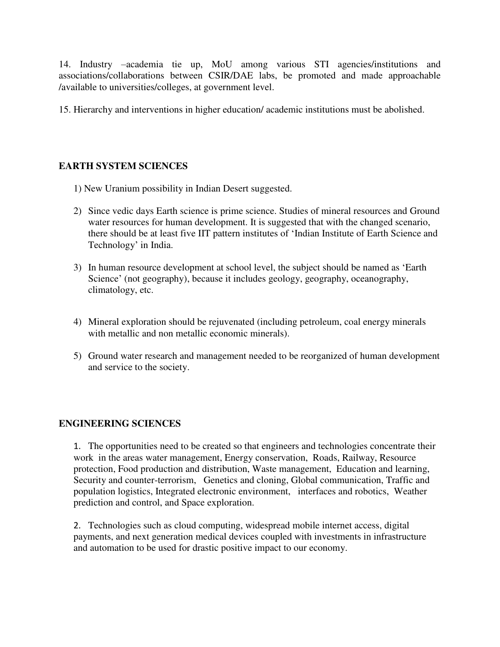14. Industry –academia tie up, MoU among various STI agencies/institutions and associations/collaborations between CSIR/DAE labs, be promoted and made approachable /available to universities/colleges, at government level.

15. Hierarchy and interventions in higher education/ academic institutions must be abolished.

### **EARTH SYSTEM SCIENCES**

- 1) New Uranium possibility in Indian Desert suggested.
- 2) Since vedic days Earth science is prime science. Studies of mineral resources and Ground water resources for human development. It is suggested that with the changed scenario, there should be at least five IIT pattern institutes of 'Indian Institute of Earth Science and Technology' in India.
- 3) In human resource development at school level, the subject should be named as 'Earth Science' (not geography), because it includes geology, geography, oceanography, climatology, etc.
- 4) Mineral exploration should be rejuvenated (including petroleum, coal energy minerals with metallic and non metallic economic minerals).
- 5) Ground water research and management needed to be reorganized of human development and service to the society.

#### **ENGINEERING SCIENCES**

1. The opportunities need to be created so that engineers and technologies concentrate their work in the areas water management, Energy conservation, Roads, Railway, Resource protection, Food production and distribution, Waste management, Education and learning, Security and counter-terrorism, Genetics and cloning, Global communication, Traffic and population logistics, Integrated electronic environment, interfaces and robotics, Weather prediction and control, and Space exploration.

2. Technologies such as cloud computing, widespread mobile internet access, digital payments, and next generation medical devices coupled with investments in infrastructure and automation to be used for drastic positive impact to our economy.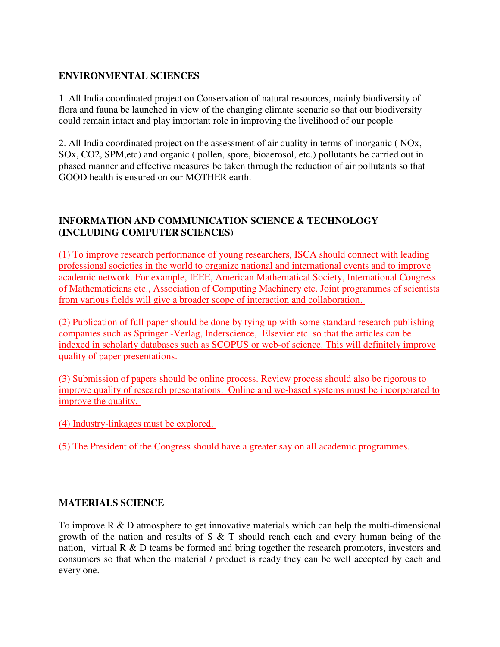#### **ENVIRONMENTAL SCIENCES**

1. All India coordinated project on Conservation of natural resources, mainly biodiversity of flora and fauna be launched in view of the changing climate scenario so that our biodiversity could remain intact and play important role in improving the livelihood of our people

2. All India coordinated project on the assessment of air quality in terms of inorganic ( NOx, SOx, CO2, SPM,etc) and organic ( pollen, spore, bioaerosol, etc.) pollutants be carried out in phased manner and effective measures be taken through the reduction of air pollutants so that GOOD health is ensured on our MOTHER earth.

#### **INFORMATION AND COMMUNICATION SCIENCE & TECHNOLOGY (INCLUDING COMPUTER SCIENCES)**

(1) To improve research performance of young researchers, ISCA should connect with leading professional societies in the world to organize national and international events and to improve academic network. For example, IEEE, American Mathematical Society, International Congress of Mathematicians etc., Association of Computing Machinery etc. Joint programmes of scientists from various fields will give a broader scope of interaction and collaboration.

(2) Publication of full paper should be done by tying up with some standard research publishing companies such as Springer -Verlag, Inderscience, Elsevier etc. so that the articles can be indexed in scholarly databases such as SCOPUS or web-of science. This will definitely improve quality of paper presentations.

(3) Submission of papers should be online process. Review process should also be rigorous to improve quality of research presentations. Online and we-based systems must be incorporated to improve the quality.

(4) Industry-linkages must be explored.

(5) The President of the Congress should have a greater say on all academic programmes.

#### **MATERIALS SCIENCE**

To improve R & D atmosphere to get innovative materials which can help the multi-dimensional growth of the nation and results of S & T should reach each and every human being of the nation, virtual R & D teams be formed and bring together the research promoters, investors and consumers so that when the material / product is ready they can be well accepted by each and every one.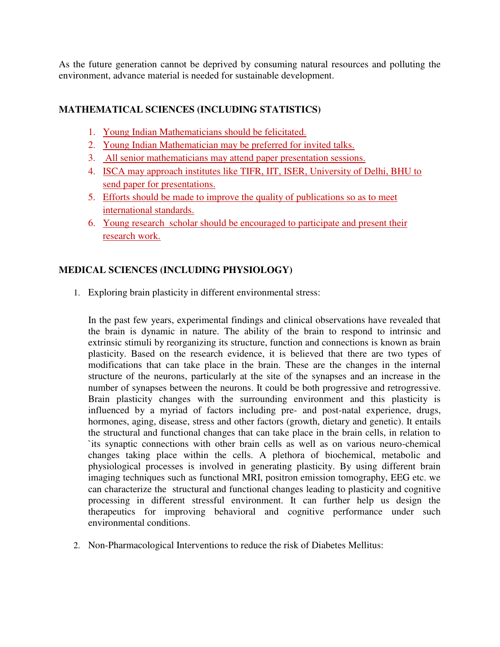As the future generation cannot be deprived by consuming natural resources and polluting the environment, advance material is needed for sustainable development.

## **MATHEMATICAL SCIENCES (INCLUDING STATISTICS)**

- 1. Young Indian Mathematicians should be felicitated.
- 2. Young Indian Mathematician may be preferred for invited talks.
- 3. All senior mathematicians may attend paper presentation sessions.
- 4. ISCA may approach institutes like TIFR, IIT, ISER, University of Delhi, BHU to send paper for presentations.
- 5. Efforts should be made to improve the quality of publications so as to meet international standards.
- 6. Young research scholar should be encouraged to participate and present their research work.

## **MEDICAL SCIENCES (INCLUDING PHYSIOLOGY)**

1. Exploring brain plasticity in different environmental stress:

In the past few years, experimental findings and clinical observations have revealed that the brain is dynamic in nature. The ability of the brain to respond to intrinsic and extrinsic stimuli by reorganizing its structure, function and connections is known as brain plasticity. Based on the research evidence, it is believed that there are two types of modifications that can take place in the brain. These are the changes in the internal structure of the neurons, particularly at the site of the synapses and an increase in the number of synapses between the neurons. It could be both progressive and retrogressive. Brain plasticity changes with the surrounding environment and this plasticity is influenced by a myriad of factors including pre- and post-natal experience, drugs, hormones, aging, disease, stress and other factors (growth, dietary and genetic). It entails the structural and functional changes that can take place in the brain cells, in relation to `its synaptic connections with other brain cells as well as on various neuro-chemical changes taking place within the cells. A plethora of biochemical, metabolic and physiological processes is involved in generating plasticity. By using different brain imaging techniques such as functional MRI, positron emission tomography, EEG etc. we can characterize the structural and functional changes leading to plasticity and cognitive processing in different stressful environment. It can further help us design the therapeutics for improving behavioral and cognitive performance under such environmental conditions.

2. Non-Pharmacological Interventions to reduce the risk of Diabetes Mellitus: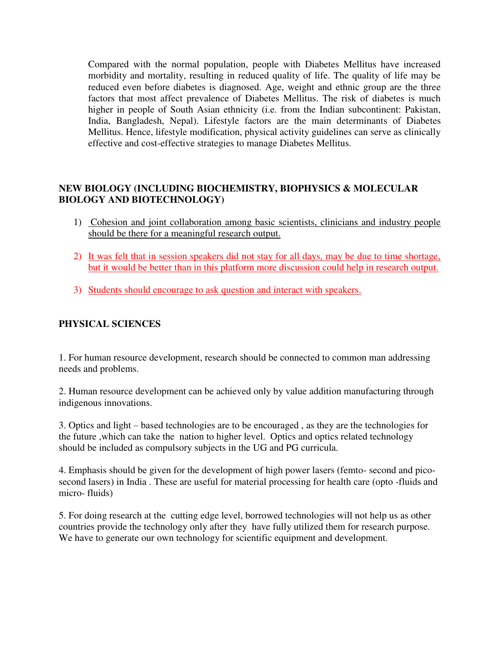Compared with the normal population, people with Diabetes Mellitus have increased morbidity and mortality, resulting in reduced quality of life. The quality of life may be reduced even before diabetes is diagnosed. Age, weight and ethnic group are the three factors that most affect prevalence of Diabetes Mellitus. The risk of diabetes is much higher in people of South Asian ethnicity (i.e. from the Indian subcontinent: Pakistan, India, Bangladesh, Nepal). Lifestyle factors are the main determinants of Diabetes Mellitus. Hence, lifestyle modification, physical activity guidelines can serve as clinically effective and cost-effective strategies to manage Diabetes Mellitus.

### **NEW BIOLOGY (INCLUDING BIOCHEMISTRY, BIOPHYSICS & MOLECULAR BIOLOGY AND BIOTECHNOLOGY)**

- 1) Cohesion and joint collaboration among basic scientists, clinicians and industry people should be there for a meaningful research output.
- 2) It was felt that in session speakers did not stay for all days, may be due to time shortage, but it would be better than in this platform more discussion could help in research output.
- 3) Students should encourage to ask question and interact with speakers.

### **PHYSICAL SCIENCES**

1. For human resource development, research should be connected to common man addressing needs and problems.

2. Human resource development can be achieved only by value addition manufacturing through indigenous innovations.

3. Optics and light – based technologies are to be encouraged , as they are the technologies for the future ,which can take the nation to higher level. Optics and optics related technology should be included as compulsory subjects in the UG and PG curricula.

4. Emphasis should be given for the development of high power lasers (femto- second and picosecond lasers) in India . These are useful for material processing for health care (opto -fluids and micro- fluids)

5. For doing research at the cutting edge level, borrowed technologies will not help us as other countries provide the technology only after they have fully utilized them for research purpose. We have to generate our own technology for scientific equipment and development.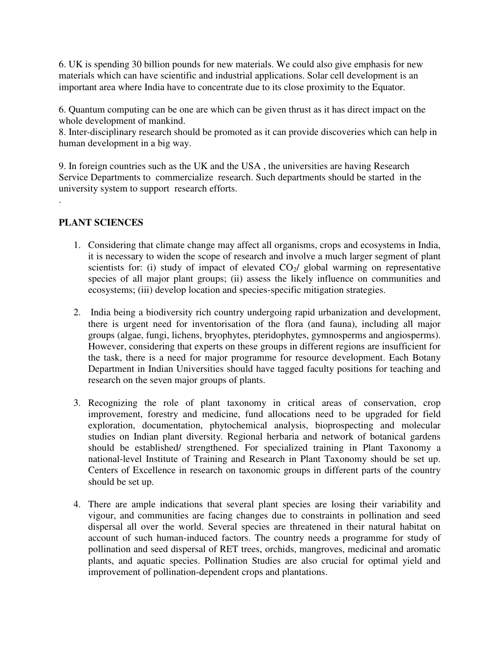6. UK is spending 30 billion pounds for new materials. We could also give emphasis for new materials which can have scientific and industrial applications. Solar cell development is an important area where India have to concentrate due to its close proximity to the Equator.

6. Quantum computing can be one are which can be given thrust as it has direct impact on the whole development of mankind.

8. Inter-disciplinary research should be promoted as it can provide discoveries which can help in human development in a big way.

9. In foreign countries such as the UK and the USA , the universities are having Research Service Departments to commercialize research. Such departments should be started in the university system to support research efforts.

# **PLANT SCIENCES**

.

- 1. Considering that climate change may affect all organisms, crops and ecosystems in India, it is necessary to widen the scope of research and involve a much larger segment of plant scientists for: (i) study of impact of elevated  $CO<sub>2</sub>/$  global warming on representative species of all major plant groups; (ii) assess the likely influence on communities and ecosystems; (iii) develop location and species-specific mitigation strategies.
- 2. India being a biodiversity rich country undergoing rapid urbanization and development, there is urgent need for inventorisation of the flora (and fauna), including all major groups (algae, fungi, lichens, bryophytes, pteridophytes, gymnosperms and angiosperms). However, considering that experts on these groups in different regions are insufficient for the task, there is a need for major programme for resource development. Each Botany Department in Indian Universities should have tagged faculty positions for teaching and research on the seven major groups of plants.
- 3. Recognizing the role of plant taxonomy in critical areas of conservation, crop improvement, forestry and medicine, fund allocations need to be upgraded for field exploration, documentation, phytochemical analysis, bioprospecting and molecular studies on Indian plant diversity. Regional herbaria and network of botanical gardens should be established/ strengthened. For specialized training in Plant Taxonomy a national-level Institute of Training and Research in Plant Taxonomy should be set up. Centers of Excellence in research on taxonomic groups in different parts of the country should be set up.
- 4. There are ample indications that several plant species are losing their variability and vigour, and communities are facing changes due to constraints in pollination and seed dispersal all over the world. Several species are threatened in their natural habitat on account of such human-induced factors. The country needs a programme for study of pollination and seed dispersal of RET trees, orchids, mangroves, medicinal and aromatic plants, and aquatic species. Pollination Studies are also crucial for optimal yield and improvement of pollination-dependent crops and plantations.